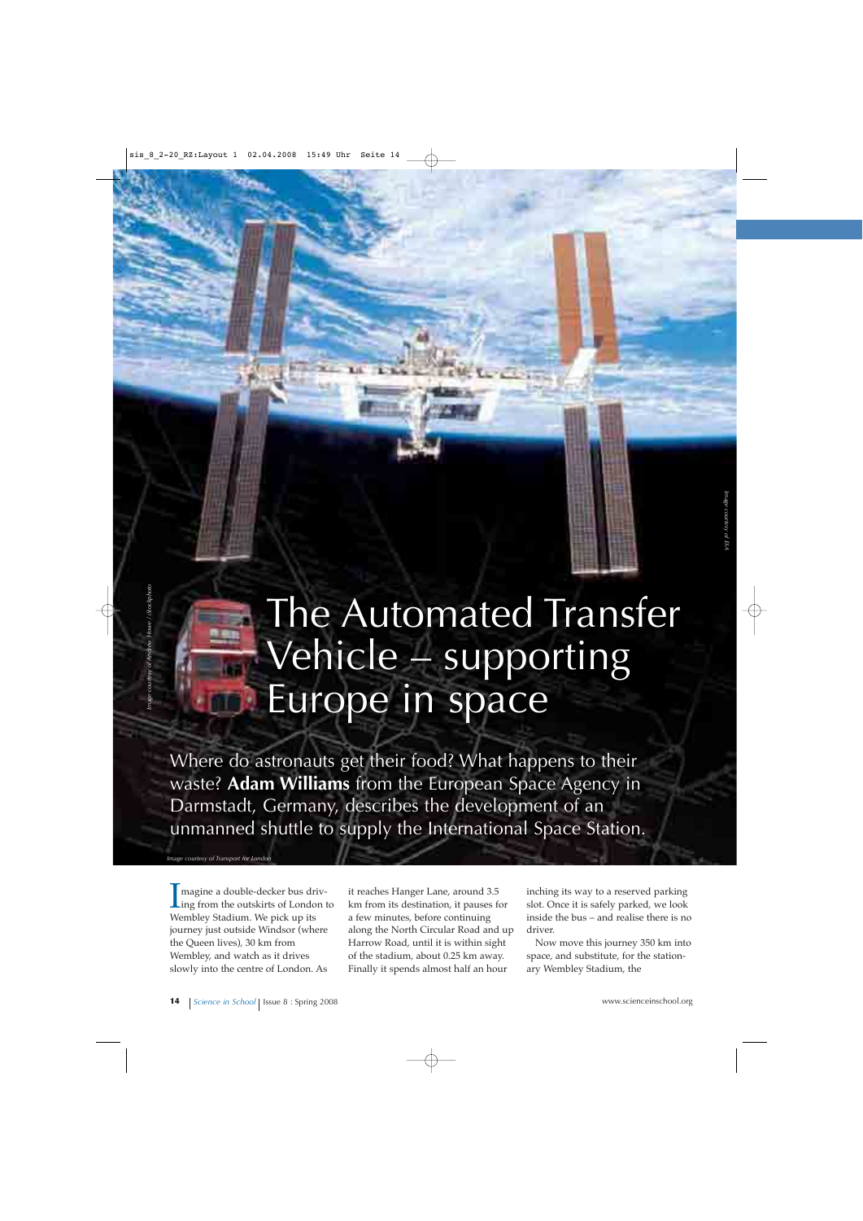# The Automated Transfer Vehicle – supporting Europe in space

Where do astronauts get their food? What happens to their waste? **Adam Williams** from the European Space Agency in Darmstadt, Germany, describes the development of an unmanned shuttle to supply the International Space Station.

*Image courtesy of Transport for London*

I magine a double-decker bus driv-<br>ing from the outskirts of London to<br>Wombley Stadium We pick up its magine a double-decker bus driv-Wembley Stadium. We pick up its journey just outside Windsor (where the Queen lives), 30 km from Wembley, and watch as it drives slowly into the centre of London. As

it reaches Hanger Lane, around 3.5 km from its destination, it pauses for a few minutes, before continuing along the North Circular Road and up Harrow Road, until it is within sight of the stadium, about 0.25 km away. Finally it spends almost half an hour

inching its way to a reserved parking slot. Once it is safely parked, we look inside the bus – and realise there is no driver.

Now move this journey 350 km into space, and substitute, for the stationary Wembley Stadium, the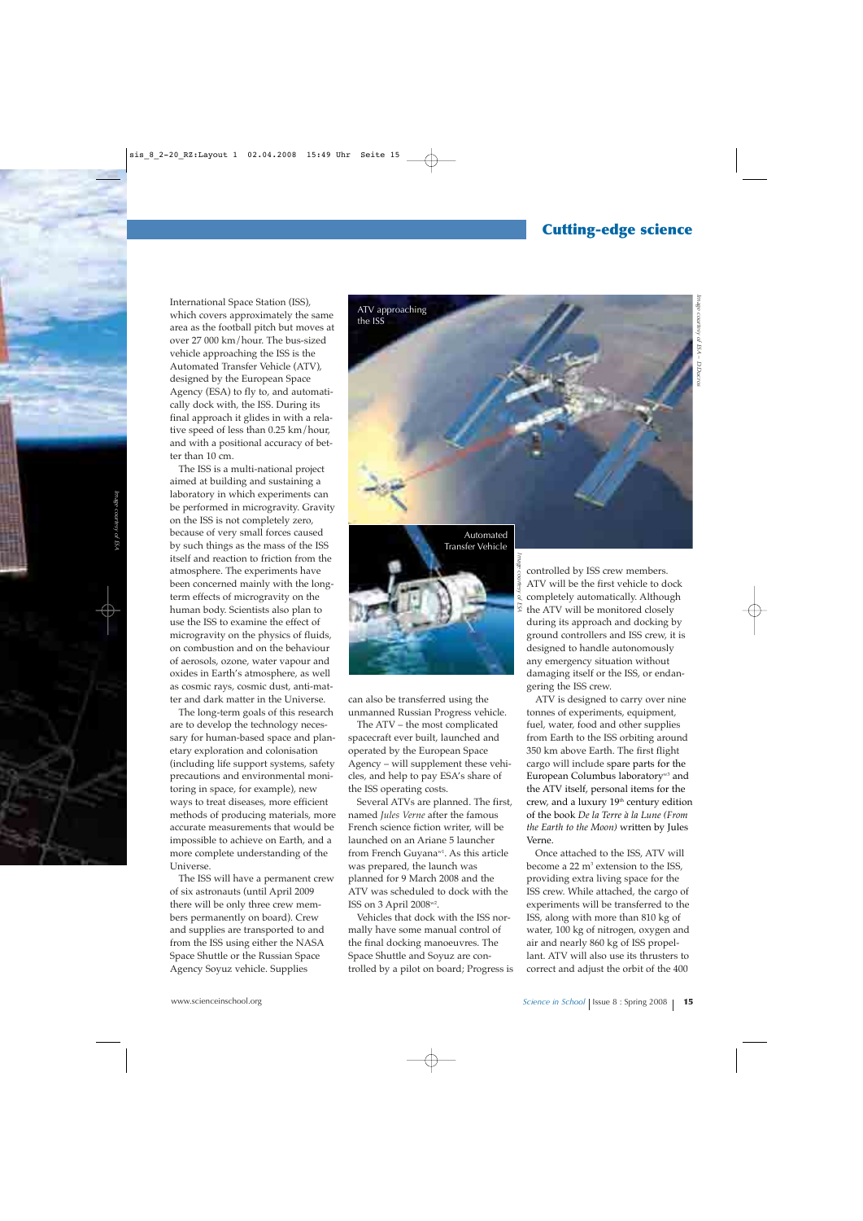#### **Cutting-edge science**

International Space Station (ISS), which covers approximately the same area as the football pitch but moves at over 27 000 km/hour. The bus-sized vehicle approaching the ISS is the Automated Transfer Vehicle (ATV), designed by the European Space Agency (ESA) to fly to, and automatically dock with, the ISS. During its final approach it glides in with a relative speed of less than 0.25 km/hour, and with a positional accuracy of better than 10 cm.

The ISS is a multi-national project aimed at building and sustaining a laboratory in which experiments can be performed in microgravity. Gravity on the ISS is not completely zero, because of very small forces caused by such things as the mass of the ISS itself and reaction to friction from the atmosphere. The experiments have been concerned mainly with the longterm effects of microgravity on the human body. Scientists also plan to use the ISS to examine the effect of microgravity on the physics of fluids, on combustion and on the behaviour of aerosols, ozone, water vapour and oxides in Earth's atmosphere, as well as cosmic rays, cosmic dust, anti-matter and dark matter in the Universe.

The long-term goals of this research are to develop the technology necessary for human-based space and planetary exploration and colonisation (including life support systems, safety precautions and environmental monitoring in space, for example), new ways to treat diseases, more efficient methods of producing materials, more accurate measurements that would be impossible to achieve on Earth, and a more complete understanding of the Universe.

The ISS will have a permanent crew of six astronauts (until April 2009 there will be only three crew members permanently on board). Crew and supplies are transported to and from the ISS using either the NASA Space Shuttle or the Russian Space Agency Soyuz vehicle. Supplies



*Image courtesy of ESA*



can also be transferred using the unmanned Russian Progress vehicle.

The ATV – the most complicated spacecraft ever built, launched and operated by the European Space Agency – will supplement these vehicles, and help to pay ESA's share of the ISS operating costs.

Several ATVs are planned. The first, named *Jules Verne* after the famous French science fiction writer, will be launched on an Ariane 5 launcher from French Guyana<sup>w1</sup>. As this article was prepared, the launch was planned for 9 March 2008 and the ATV was scheduled to dock with the ISS on 3 April 2008w2.

Vehicles that dock with the ISS normally have some manual control of the final docking manoeuvres. The Space Shuttle and Soyuz are controlled by a pilot on board; Progress is controlled by ISS crew members. ATV will be the first vehicle to dock completely automatically. Although the ATV will be monitored closely during its approach and docking by ground controllers and ISS crew, it is designed to handle autonomously any emergency situation without damaging itself or the ISS, or endangering the ISS crew.

ATV is designed to carry over nine tonnes of experiments, equipment, fuel, water, food and other supplies from Earth to the ISS orbiting around 350 km above Earth. The first flight cargo will include spare parts for the European Columbus laboratory<sup>w3</sup> and the ATV itself, personal items for the crew, and a luxury 19<sup>th</sup> century edition of the book *De la Terre à la Lune (From the Earth to the Moon)* written by Jules Verne.

Once attached to the ISS, ATV will become a 22 m<sup>3</sup> extension to the ISS, providing extra living space for the ISS crew. While attached, the cargo of experiments will be transferred to the ISS, along with more than 810 kg of water, 100 kg of nitrogen, oxygen and air and nearly 860 kg of ISS propellant. ATV will also use its thrusters to correct and adjust the orbit of the 400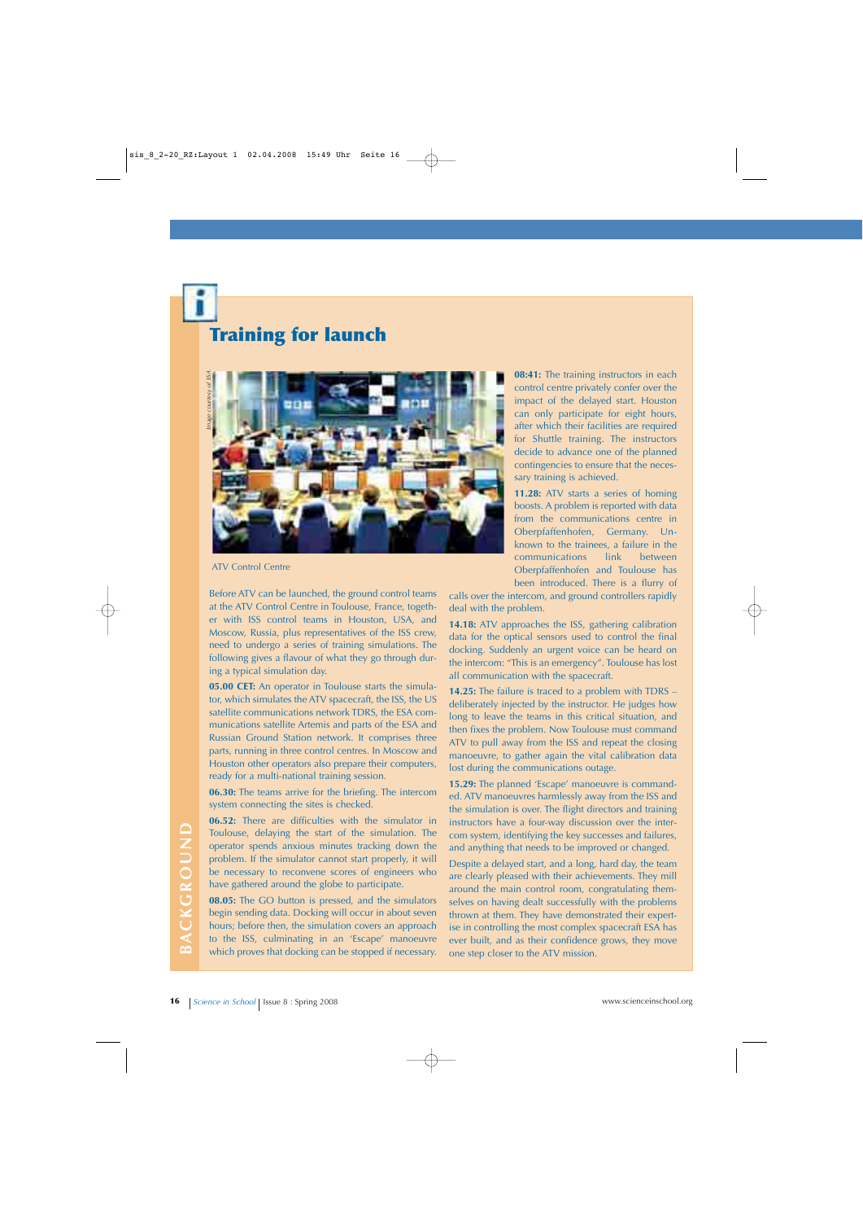## **Training for launch**



Before ATV can be launched, the ground control teams at the ATV Control Centre in Toulouse, France, together with ISS control teams in Houston, USA, and Moscow, Russia, plus representatives of the ISS crew, need to undergo a series of training simulations. The following gives a flavour of what they go through during a typical simulation day.

**05.00 CET:** An operator in Toulouse starts the simulator, which simulates the ATV spacecraft, the ISS, the US satellite communications network TDRS, the ESA communications satellite Artemis and parts of the ESA and Russian Ground Station network. It comprises three parts, running in three control centres. In Moscow and Houston other operators also prepare their computers, ready for a multi-national training session.

**06.30:** The teams arrive for the briefing. The intercom system connecting the sites is checked.

**06.52:** There are difficulties with the simulator in Toulouse, delaying the start of the simulation. The operator spends anxious minutes tracking down the problem. If the simulator cannot start properly, it will be necessary to reconvene scores of engineers who have gathered around the globe to participate.

**08.05:** The GO button is pressed, and the simulators begin sending data. Docking will occur in about seven hours; before then, the simulation covers an approach to the ISS, culminating in an 'Escape' manoeuvre which proves that docking can be stopped if necessary.

**08:41:** The training instructors in each control centre privately confer over the impact of the delayed start. Houston can only participate for eight hours, after which their facilities are required for Shuttle training. The instructors decide to advance one of the planned contingencies to ensure that the necessary training is achieved.

**11.28:** ATV starts a series of homing boosts. A problem is reported with data from the communications centre in Oberpfaffenhofen, Germany. Unknown to the trainees, a failure in the communications link between Oberpfaffenhofen and Toulouse has been introduced. There is a flurry of

calls over the intercom, and ground controllers rapidly deal with the problem.

**14.18:** ATV approaches the ISS, gathering calibration data for the optical sensors used to control the final docking. Suddenly an urgent voice can be heard on the intercom: "This is an emergency". Toulouse has lost all communication with the spacecraft.

**14.25:** The failure is traced to a problem with TDRS – deliberately injected by the instructor. He judges how long to leave the teams in this critical situation, and then fixes the problem. Now Toulouse must command ATV to pull away from the ISS and repeat the closing manoeuvre, to gather again the vital calibration data lost during the communications outage.

**15.29:** The planned 'Escape' manoeuvre is commanded. ATV manoeuvres harmlessly away from the ISS and the simulation is over. The flight directors and training instructors have a four-way discussion over the intercom system, identifying the key successes and failures, and anything that needs to be improved or changed.

Toulouse, delaying the start of the simulation. The com system, identifying the key successes and failures, operator spends anxious minutes tracking down the and anything that needs to be improved or changed.<br> **16 Config** Despite a delayed start, and a long, hard day, the team are clearly pleased with their achievements. They mill around the main control room, congratulating themselves on having dealt successfully with the problems thrown at them. They have demonstrated their expertise in controlling the most complex spacecraft ESA has ever built, and as their confidence grows, they move one step closer to the ATV mission.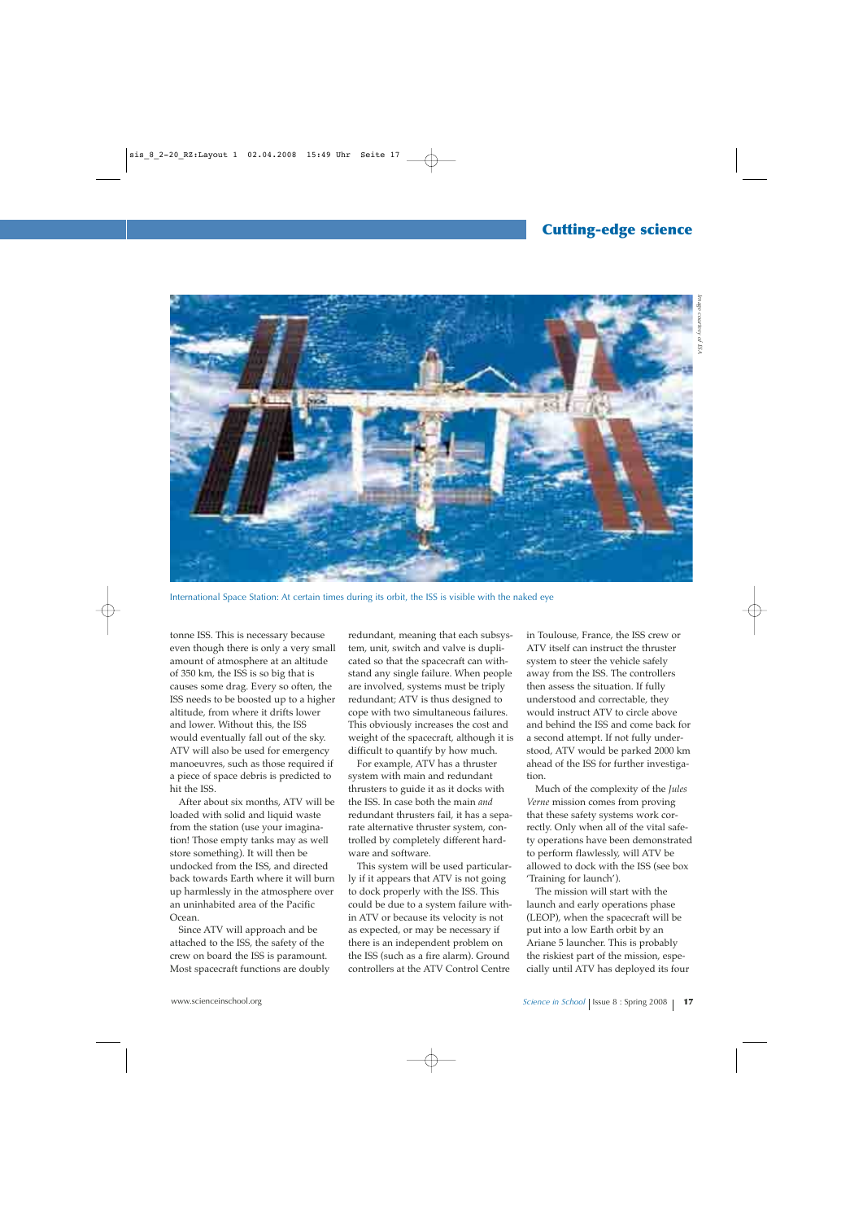

International Space Station: At certain times during its orbit, the ISS is visible with the naked eye

tonne ISS. This is necessary because even though there is only a very small amount of atmosphere at an altitude of 350 km, the ISS is so big that is causes some drag. Every so often, the ISS needs to be boosted up to a higher altitude, from where it drifts lower and lower. Without this, the ISS would eventually fall out of the sky. ATV will also be used for emergency manoeuvres, such as those required if a piece of space debris is predicted to hit the ISS.

After about six months, ATV will be loaded with solid and liquid waste from the station (use your imagination! Those empty tanks may as well store something). It will then be undocked from the ISS, and directed back towards Earth where it will burn up harmlessly in the atmosphere over an uninhabited area of the Pacific Ocean.

Since ATV will approach and be attached to the ISS, the safety of the crew on board the ISS is paramount. Most spacecraft functions are doubly redundant, meaning that each subsystem, unit, switch and valve is duplicated so that the spacecraft can withstand any single failure. When people are involved, systems must be triply redundant; ATV is thus designed to cope with two simultaneous failures. This obviously increases the cost and weight of the spacecraft, although it is difficult to quantify by how much.

For example, ATV has a thruster system with main and redundant thrusters to guide it as it docks with the ISS. In case both the main *and* redundant thrusters fail, it has a separate alternative thruster system, controlled by completely different hardware and software.

This system will be used particularly if it appears that ATV is not going to dock properly with the ISS. This could be due to a system failure within ATV or because its velocity is not as expected, or may be necessary if there is an independent problem on the ISS (such as a fire alarm). Ground controllers at the ATV Control Centre

in Toulouse, France, the ISS crew or ATV itself can instruct the thruster system to steer the vehicle safely away from the ISS. The controllers then assess the situation. If fully understood and correctable, they would instruct ATV to circle above and behind the ISS and come back for a second attempt. If not fully understood, ATV would be parked 2000 km ahead of the ISS for further investigation.

Much of the complexity of the *Jules Verne* mission comes from proving that these safety systems work correctly. Only when all of the vital safety operations have been demonstrated to perform flawlessly, will ATV be allowed to dock with the ISS (see box 'Training for launch').

The mission will start with the launch and early operations phase (LEOP), when the spacecraft will be put into a low Earth orbit by an Ariane 5 launcher. This is probably the riskiest part of the mission, especially until ATV has deployed its four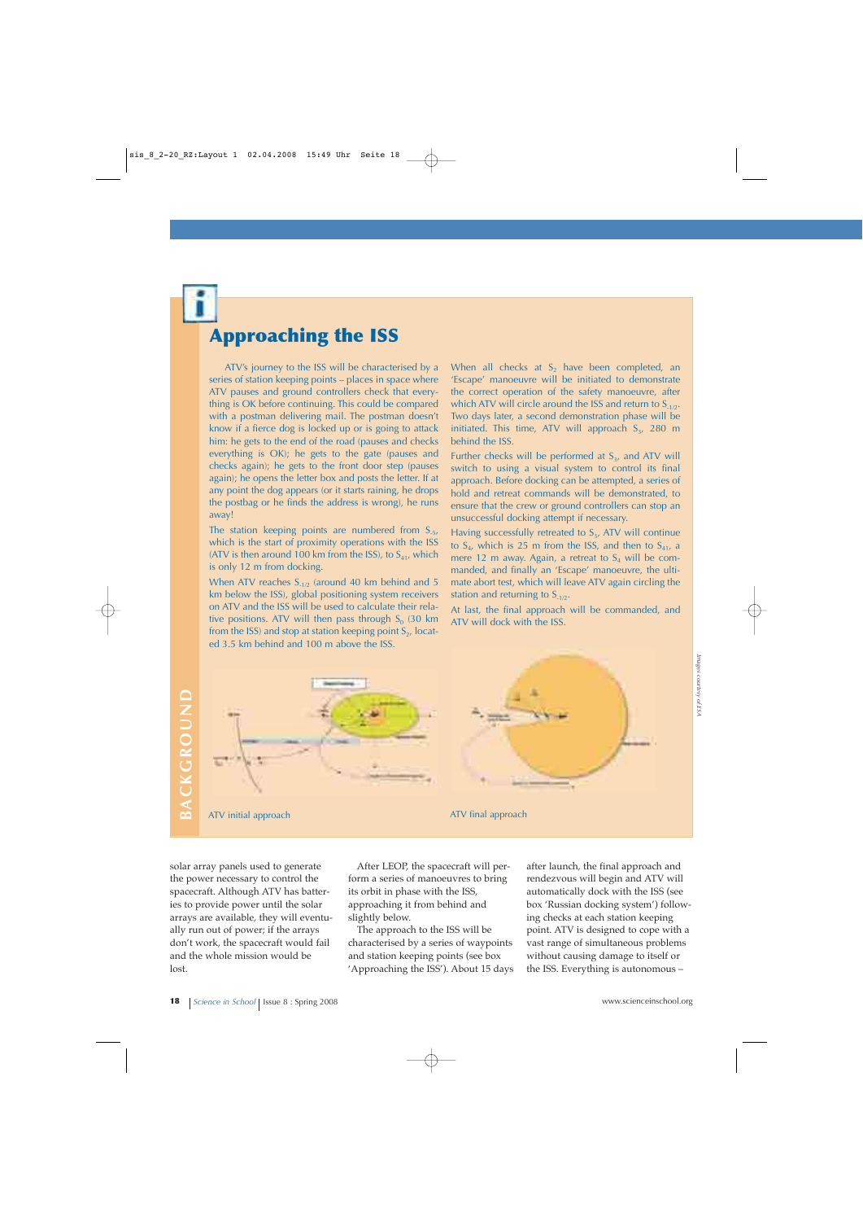## **Approaching the ISS**

ATV's journey to the ISS will be characterised by a series of station keeping points – places in space where ATV pauses and ground controllers check that everything is OK before continuing. This could be compared with a postman delivering mail. The postman doesn't know if a fierce dog is locked up or is going to attack him: he gets to the end of the road (pauses and checks everything is OK); he gets to the gate (pauses and checks again); he gets to the front door step (pauses again); he opens the letter box and posts the letter. If at any point the dog appears (or it starts raining, he drops the postbag or he finds the address is wrong), he runs away!

The station keeping points are numbered from  $S_{-5}$ , which is the start of proximity operations with the ISS (ATV is then around 100 km from the ISS), to  $S<sub>41</sub>$ , which is only 12 m from docking.

When ATV reaches  $S_{-1/2}$  (around 40 km behind and 5 km below the ISS), global positioning system receivers on ATV and the ISS will be used to calculate their relative positions. ATV will then pass through  $S_0$  (30 km) from the ISS) and stop at station keeping point  $S<sub>2</sub>$ , located 3.5 km behind and 100 m above the ISS.

When all checks at  $S_2$  have been completed, an 'Escape' manoeuvre will be initiated to demonstrate the correct operation of the safety manoeuvre, after which ATV will circle around the ISS and return to  $S_{-1/2}$ . Two days later, a second demonstration phase will be initiated. This time, ATV will approach  $S_3$ , 280 m behind the ISS.

Further checks will be performed at  $S_3$ , and ATV will switch to using a visual system to control its final approach. Before docking can be attempted, a series of hold and retreat commands will be demonstrated, to ensure that the crew or ground controllers can stop an unsuccessful docking attempt if necessary.

Having successfully retreated to  $S_3$ , ATV will continue to  $S_{4}$ , which is 25 m from the ISS, and then to  $S_{41}$ , a mere 12 m away. Again, a retreat to  $S<sub>4</sub>$  will be commanded, and finally an 'Escape' manoeuvre, the ultimate abort test, which will leave ATV again circling the station and returning to  $S_{1/2}$ .

At last, the final approach will be commanded, and ATV will dock with the ISS.

BACKGROUND **BACKGROUND**



solar array panels used to generate the power necessary to control the spacecraft. Although ATV has batteries to provide power until the solar arrays are available, they will eventually run out of power; if the arrays don't work, the spacecraft would fail and the whole mission would be lost.

After LEOP, the spacecraft will perform a series of manoeuvres to bring its orbit in phase with the ISS, approaching it from behind and slightly below.

The approach to the ISS will be characterised by a series of waypoints and station keeping points (see box 'Approaching the ISS'). About 15 days after launch, the final approach and rendezvous will begin and ATV will automatically dock with the ISS (see box 'Russian docking system') following checks at each station keeping point. ATV is designed to cope with a vast range of simultaneous problems without causing damage to itself or the ISS. Everything is autonomous –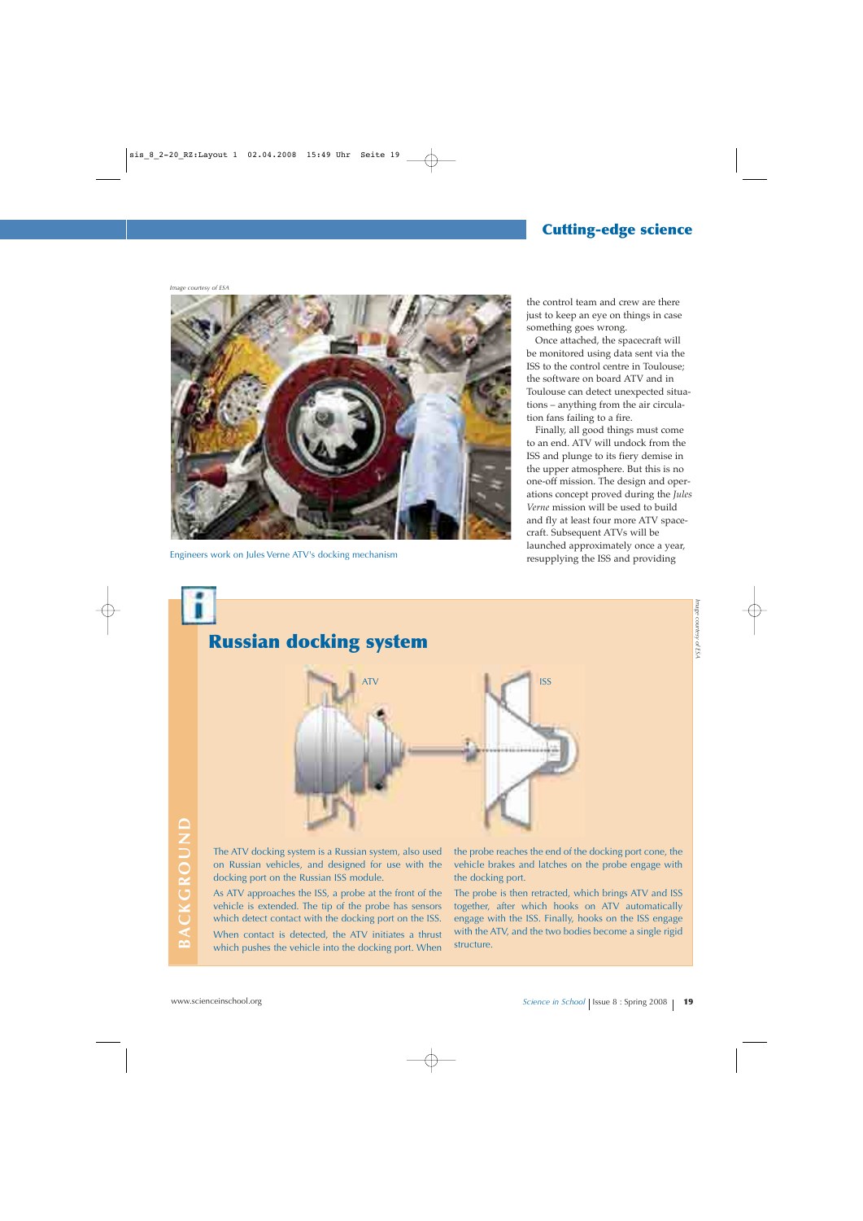#### **Cutting-edge science**

*Image courtesy of ESA*



Engineers work on Jules Verne ATV's docking mechanism

the control team and crew are there just to keep an eye on things in case something goes wrong.

Once attached, the spacecraft will be monitored using data sent via the ISS to the control centre in Toulouse; the software on board ATV and in Toulouse can detect unexpected situations – anything from the air circulation fans failing to a fire.

Finally, all good things must come to an end. ATV will undock from the ISS and plunge to its fiery demise in the upper atmosphere. But this is no one-off mission. The design and operations concept proved during the *Jules Verne* mission will be used to build and fly at least four more ATV spacecraft. Subsequent ATVs will be launched approximately once a year, resupplying the ISS and providing

# **Russian docking system**



The ATV docking system is a Russian system, also used on Russian vehicles, and designed for use with the docking port on the Russian ISS module.

The ATV docking system is a Russian system, also used the probe reaches the end of the docking port cone, the<br>
on Russian vehicles, and designed for use with the vehicle brakes and latches on the probe engage with<br>
docking As ATV approaches the ISS, a probe at the front of the vehicle is extended. The tip of the probe has sensors which detect contact with the docking port on the ISS. When contact is detected, the ATV initiates a thrust which pushes the vehicle into the docking port. When

the probe reaches the end of the docking port cone, the vehicle brakes and latches on the probe engage with the docking port.

The probe is then retracted, which brings ATV and ISS together, after which hooks on ATV automatically engage with the ISS. Finally, hooks on the ISS engage with the ATV, and the two bodies become a single rigid structure.